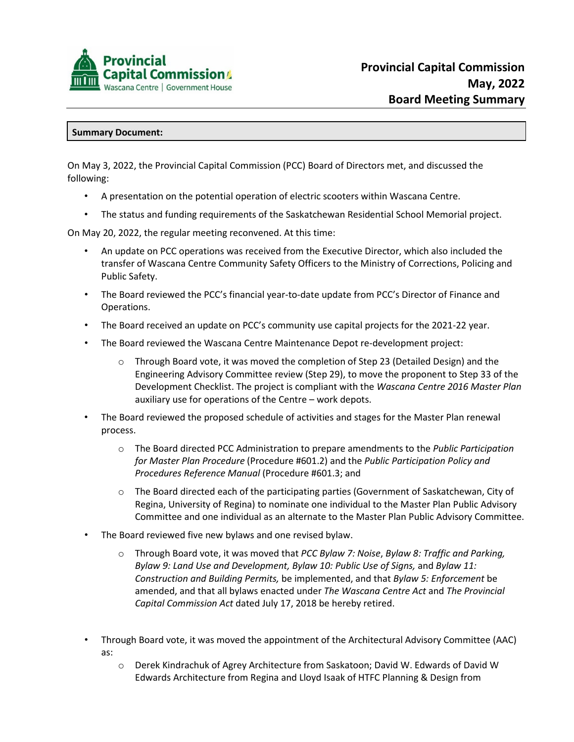

## **Summary Document:**

On May 3, 2022, the Provincial Capital Commission (PCC) Board of Directors met, and discussed the following:

- A presentation on the potential operation of electric scooters within Wascana Centre.
- The status and funding requirements of the Saskatchewan Residential School Memorial project.

On May 20, 2022, the regular meeting reconvened. At this time:

- An update on PCC operations was received from the Executive Director, which also included the transfer of Wascana Centre Community Safety Officers to the Ministry of Corrections, Policing and Public Safety.
- The Board reviewed the PCC's financial year-to-date update from PCC's Director of Finance and Operations.
- The Board received an update on PCC's community use capital projects for the 2021-22 year.
- The Board reviewed the Wascana Centre Maintenance Depot re-development project:
	- $\circ$  Through Board vote, it was moved the completion of Step 23 (Detailed Design) and the Engineering Advisory Committee review (Step 29), to move the proponent to Step 33 of the Development Checklist. The project is compliant with the *Wascana Centre 2016 Master Plan* auxiliary use for operations of the Centre – work depots.
- The Board reviewed the proposed schedule of activities and stages for the Master Plan renewal process.
	- o The Board directed PCC Administration to prepare amendments to the *Public Participation for Master Plan Procedure* (Procedure #601.2) and the *Public Participation Policy and Procedures Reference Manual* (Procedure #601.3; and
	- $\circ$  The Board directed each of the participating parties (Government of Saskatchewan, City of Regina, University of Regina) to nominate one individual to the Master Plan Public Advisory Committee and one individual as an alternate to the Master Plan Public Advisory Committee.
- The Board reviewed five new bylaws and one revised bylaw.
	- o Through Board vote, it was moved that *PCC Bylaw 7: Noise*, *Bylaw 8: Traffic and Parking, Bylaw 9: Land Use and Development, Bylaw 10: Public Use of Signs,* and *Bylaw 11: Construction and Building Permits,* be implemented, and that *Bylaw 5: Enforcement* be amended, and that all bylaws enacted under *The Wascana Centre Act* and *The Provincial Capital Commission Act* dated July 17, 2018 be hereby retired.
- Through Board vote, it was moved the appointment of the Architectural Advisory Committee (AAC) as:
	- o Derek Kindrachuk of Agrey Architecture from Saskatoon; David W. Edwards of David W Edwards Architecture from Regina and Lloyd Isaak of HTFC Planning & Design from